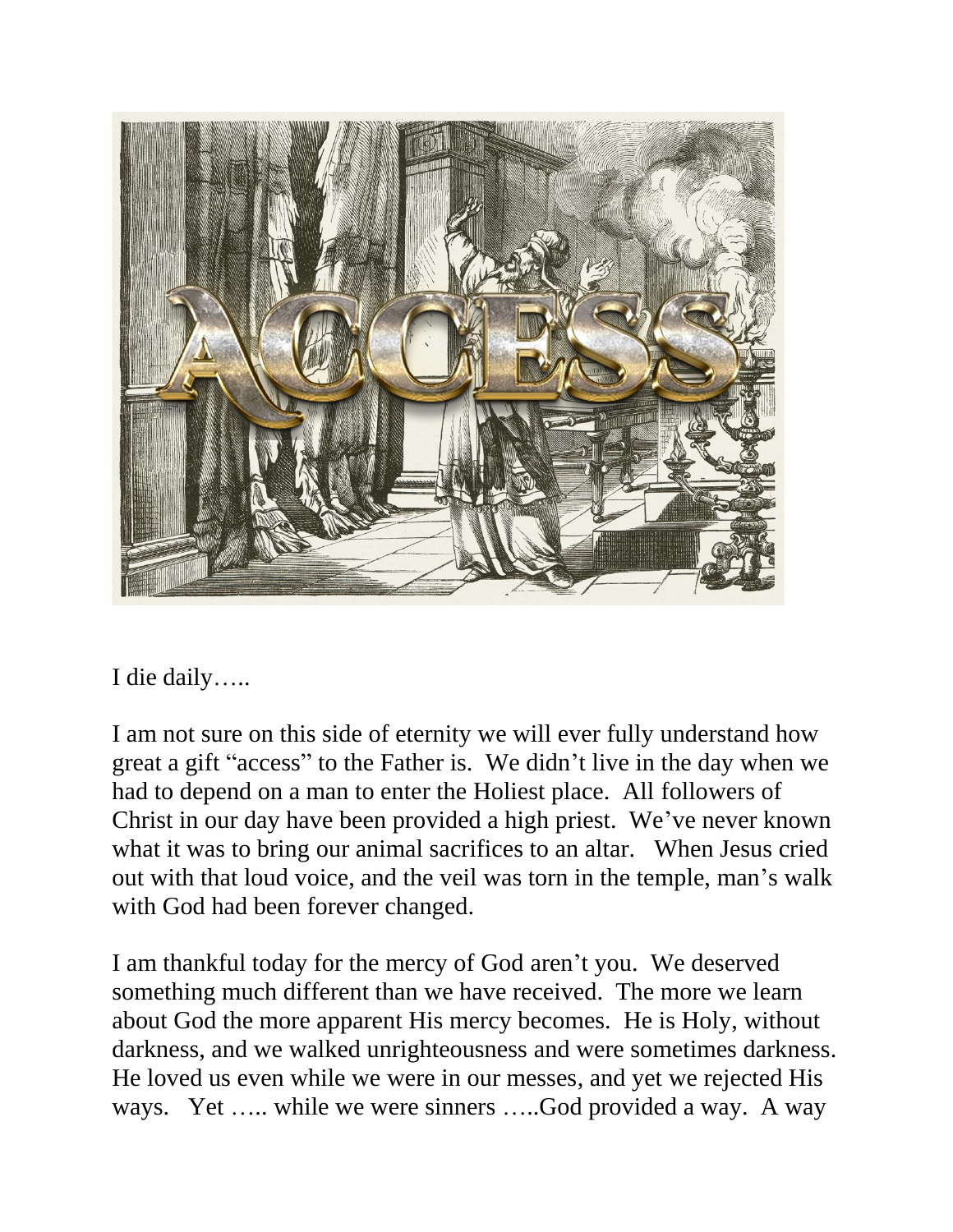

I die daily…..

I am not sure on this side of eternity we will ever fully understand how great a gift "access" to the Father is. We didn't live in the day when we had to depend on a man to enter the Holiest place. All followers of Christ in our day have been provided a high priest. We've never known what it was to bring our animal sacrifices to an altar. When Jesus cried out with that loud voice, and the veil was torn in the temple, man's walk with God had been forever changed.

I am thankful today for the mercy of God aren't you. We deserved something much different than we have received. The more we learn about God the more apparent His mercy becomes. He is Holy, without darkness, and we walked unrighteousness and were sometimes darkness. He loved us even while we were in our messes, and yet we rejected His ways. Yet ….. while we were sinners ….. God provided a way. A way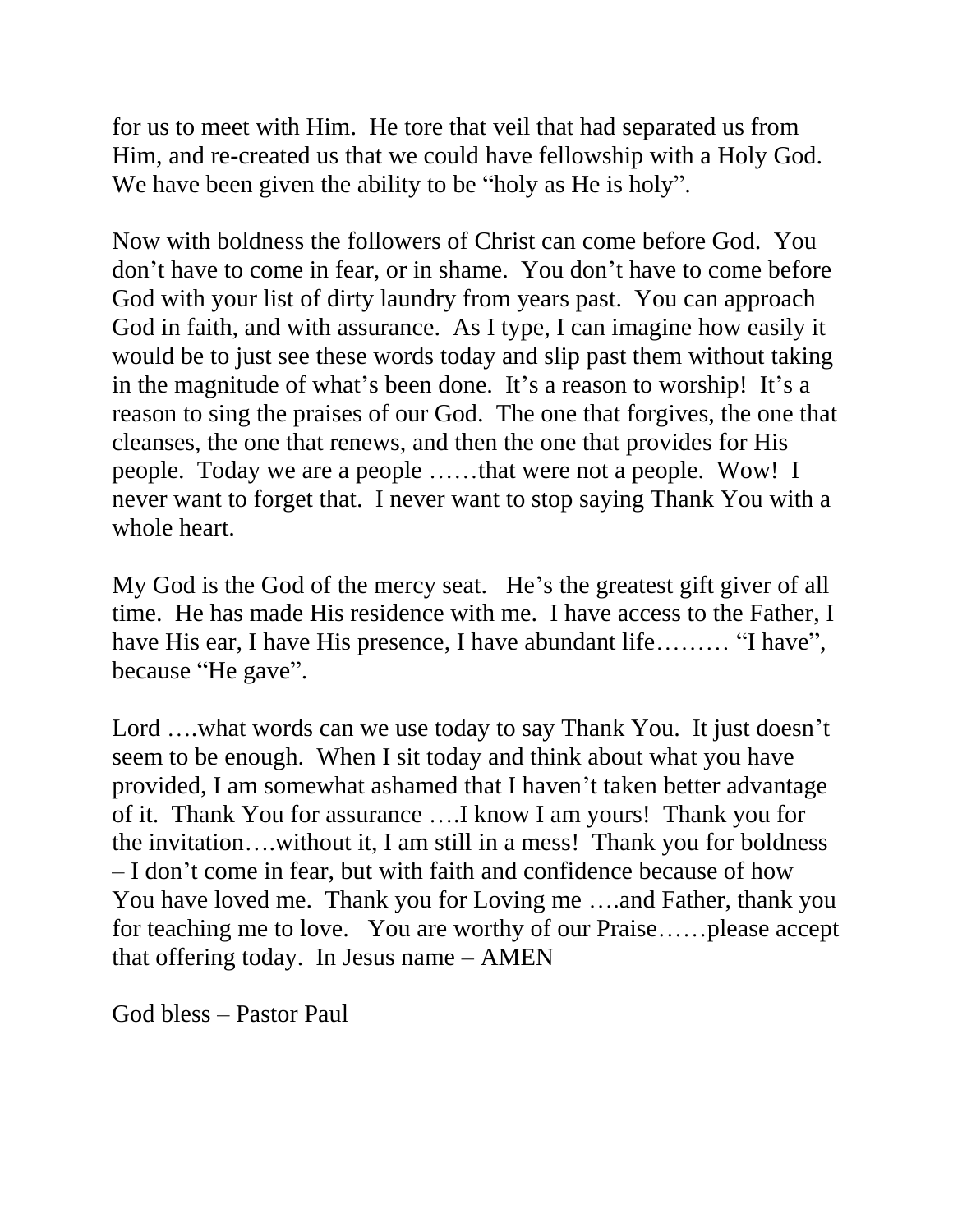for us to meet with Him. He tore that veil that had separated us from Him, and re-created us that we could have fellowship with a Holy God. We have been given the ability to be "holy as He is holy".

Now with boldness the followers of Christ can come before God. You don't have to come in fear, or in shame. You don't have to come before God with your list of dirty laundry from years past. You can approach God in faith, and with assurance. As I type, I can imagine how easily it would be to just see these words today and slip past them without taking in the magnitude of what's been done. It's a reason to worship! It's a reason to sing the praises of our God. The one that forgives, the one that cleanses, the one that renews, and then the one that provides for His people. Today we are a people ……that were not a people. Wow! I never want to forget that. I never want to stop saying Thank You with a whole heart.

My God is the God of the mercy seat. He's the greatest gift giver of all time. He has made His residence with me. I have access to the Father, I have His ear, I have His presence, I have abundant life……… "I have", because "He gave".

Lord ....what words can we use today to say Thank You. It just doesn't seem to be enough. When I sit today and think about what you have provided, I am somewhat ashamed that I haven't taken better advantage of it. Thank You for assurance ….I know I am yours! Thank you for the invitation….without it, I am still in a mess! Thank you for boldness – I don't come in fear, but with faith and confidence because of how You have loved me. Thank you for Loving me ….and Father, thank you for teaching me to love. You are worthy of our Praise……please accept that offering today. In Jesus name – AMEN

God bless – Pastor Paul